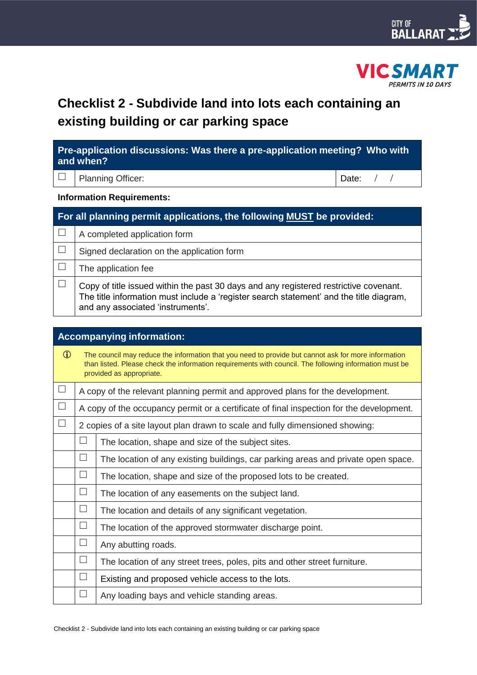



# **Checklist 2 - Subdivide land into lots each containing an existing building or car parking space**

| Pre-application discussions: Was there a pre-application meeting? Who with<br>and when? |                              |             |  |  |  |
|-----------------------------------------------------------------------------------------|------------------------------|-------------|--|--|--|
|                                                                                         | <b>Planning Officer:</b>     | Date: $/$ / |  |  |  |
| <b>Information Requirements:</b>                                                        |                              |             |  |  |  |
| For all planning permit applications, the following MUST be provided:                   |                              |             |  |  |  |
|                                                                                         | A completed application form |             |  |  |  |

| Signed declaration on the application form                                                                                                                                                                            |
|-----------------------------------------------------------------------------------------------------------------------------------------------------------------------------------------------------------------------|
| The application fee                                                                                                                                                                                                   |
| Copy of title issued within the past 30 days and any registered restrictive covenant.<br>The title information must include a 'register search statement' and the title diagram,<br>and any associated 'instruments'. |

| <b>Accompanying information:</b> |        |                                                                                                                                                                                                                                           |  |  |
|----------------------------------|--------|-------------------------------------------------------------------------------------------------------------------------------------------------------------------------------------------------------------------------------------------|--|--|
| $\bigcirc$                       |        | The council may reduce the information that you need to provide but cannot ask for more information<br>than listed. Please check the information requirements with council. The following information must be<br>provided as appropriate. |  |  |
| $\Box$                           |        | A copy of the relevant planning permit and approved plans for the development.                                                                                                                                                            |  |  |
| $\Box$                           |        | A copy of the occupancy permit or a certificate of final inspection for the development.                                                                                                                                                  |  |  |
| $\Box$                           |        | 2 copies of a site layout plan drawn to scale and fully dimensioned showing:                                                                                                                                                              |  |  |
|                                  | $\Box$ | The location, shape and size of the subject sites.                                                                                                                                                                                        |  |  |
|                                  | $\Box$ | The location of any existing buildings, car parking areas and private open space.                                                                                                                                                         |  |  |
|                                  | $\Box$ | The location, shape and size of the proposed lots to be created.                                                                                                                                                                          |  |  |
|                                  | $\Box$ | The location of any easements on the subject land.                                                                                                                                                                                        |  |  |
|                                  | $\Box$ | The location and details of any significant vegetation.                                                                                                                                                                                   |  |  |
|                                  | $\Box$ | The location of the approved stormwater discharge point.                                                                                                                                                                                  |  |  |
|                                  | $\Box$ | Any abutting roads.                                                                                                                                                                                                                       |  |  |
|                                  | $\Box$ | The location of any street trees, poles, pits and other street furniture.                                                                                                                                                                 |  |  |
|                                  | $\Box$ | Existing and proposed vehicle access to the lots.                                                                                                                                                                                         |  |  |
|                                  | П      | Any loading bays and vehicle standing areas.                                                                                                                                                                                              |  |  |